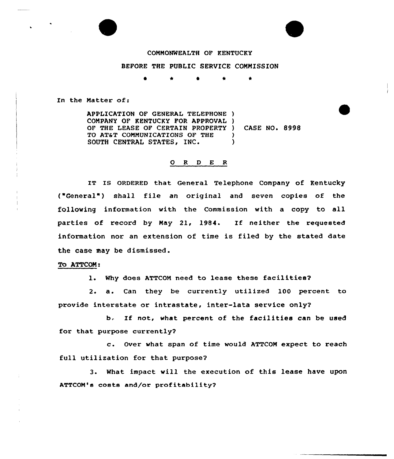

## COMMONWEALTH OF KENTUCKY

# BEFORE THE PUBLIC SERVICE COMMISSION

\* 4r \*

In the Matter of:

APPLICATION OF GENERAL TELEPHONE ) COMPANY OF KENTUCKY FOR APPROVAL ) OF THE LEASE OF CERTAIN PROPERTY ) CASE NO. 8998 TO AT&T COMMUNICATIONS OF THE )<br>SOUTH CENTRAL STATES. INC. (1) SOUTH CENTRAL STATES, INC.

## 0 8 <sup>D</sup> E <sup>R</sup>

IT IS ORDERED that General Telephone Company of Kentucky ("General") shall file an original and seven copies of the following information with the Commission with a copy to all parties of record by May 21, 1984. If neither the requested information nor an extension of time is filed by the stated date the case may be dismissed.

#### To ATTCON:

1. Why does ATTCOM need to lease these facilities2

2. a. Can they be currently utilized 100 percent to provide interstate or intrastate, inter-lata service only?

b. If not, what percent of the facilities can be used for that purpose currently2

c. Over what span of time would ATTCOM expect to reach full utilization for that purpose2

3. What impact will the execution of this lease have upon ATTCOM's costs and/or profitability2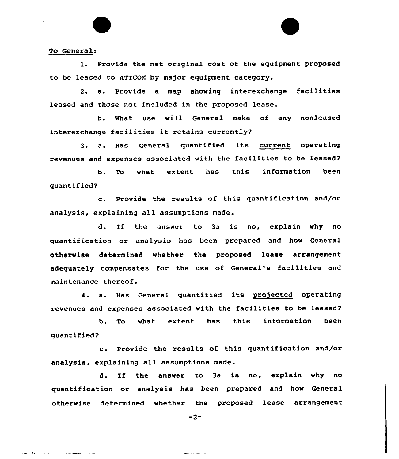#### To General:

المستحدث والمستحقات

متعصف تدامل

1. Provide the net original cost of the equipment proposed to be leased to ATTCON by major equipment category.

2. a. Provide <sup>a</sup> map showing interexchange facilities leased and those not included in the proposed lease.

b. What use will General make of any nonleased interexchange facilities it retains currently?

3. a. Has General quantified its current operating revenues and expenses associated with the facilities to be leased?

b. To what extent has this information been quantified'?

c. Provide the results of this quantification and/or analysis, explaining all assumptions made.

d. If the answer to 3a is no, explain why no quantification or analysis has been prepared and how General otherwise determined whether the proposed lease arrangement adequately compensates for the use of General's facilities and maintenance thereof.

4. a. Has General quantified its projected operating revenues and expenses associated with the facilities to be leased?

b. To what extent has this information been quantified?

c. Provide the results of this quantification and/or analysis, explaining all assumptions made.

d. If the answer to 3a is no, explain why no quantification or analysis has been prepared and how General otherwise determined whether the proposed lease arrangement

 $-2-$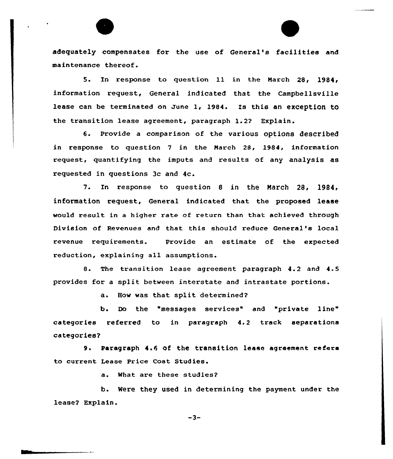adequately compensates for the use of General's facilities and maintenance thereof.

5. En response to question ll in the Karch 28, 1984/ information request, General indicated that the Campbellsville lease can be terminated on June I, 1984. Xs this an exception to the transition lease agreement, paragraph 1.2? Explain.

6. provide a comparison of the various options described in response to question 7 in the Narch 28, 1984, information request, quantifying the imputs and results of any analysis as requested in questions 3c and 4c.

7. In response to question 8 in the March 28, 1984, information request, General indicated that the proposed lease would result in a higher rate of return than that achieved through Division of Revenues and that this should reduce General's local revenue requirements. Provide an estimate of the expected reduction, explaining all assumptions.

8. The transition lease agreement paragraph 4.2 and 4.5 provides for a split between interstate and intrastate portions.

a. How was that split determined?

b. Do the 'messages services" and "private line" categories referred to in paragraph 4.2 track separations categories?

9. Paragraph 4.6 of the transition lease agreement refers to current Lease Price Cost Studies.

a. What are these studies?

b. Were they used in determining the payment under the lease? Explain.

 $-3-$